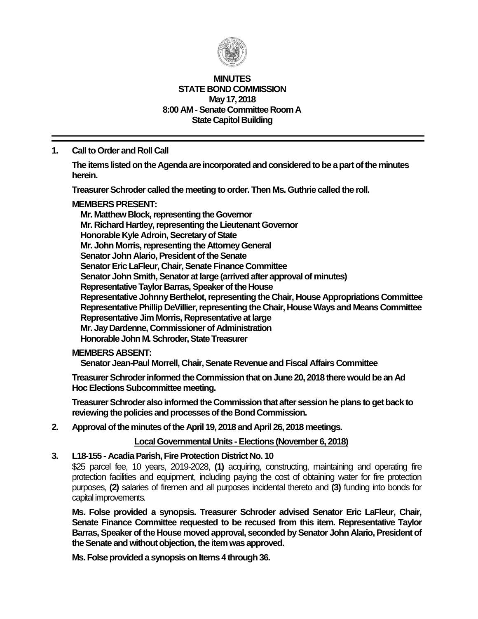

#### **MINUTES STATE BOND COMMISSION May 17, 2018 8:00 AM - Senate Committee Room A State Capitol Building**

# **1. Call to Order and Roll Call**

**The items listed on the Agenda are incorporated and considered to be a part of the minutes herein.**

**Treasurer Schroder called the meeting to order. Then Ms. Guthrie called the roll.**

#### **MEMBERS PRESENT:**

**Mr. Matthew Block, representing the Governor Mr. Richard Hartley, representing the Lieutenant Governor Honorable Kyle Adroin, Secretary of State Mr. John Morris, representing the Attorney General Senator John Alario, President of the Senate Senator Eric LaFleur, Chair, Senate Finance Committee Senator John Smith, Senator at large (arrived after approval of minutes) Representative Taylor Barras, Speaker of the House Representative Johnny Berthelot, representing the Chair, House Appropriations Committee Representative Phillip DeVillier, representing the Chair, House Ways and Means Committee Representative Jim Morris, Representative at large Mr. Jay Dardenne, Commissioner of Administration Honorable John M. Schroder, State Treasurer**

#### **MEMBERS ABSENT:**

**Senator Jean-Paul Morrell, Chair, Senate Revenue and Fiscal Affairs Committee**

**Treasurer Schroder informed the Commission that on June 20, 2018 there would be an Ad HocElections Subcommittee meeting.**

**Treasurer Schroder also informed the Commission that after session he plans to get back to reviewing the policies and processes of the Bond Commission.**

## **2. Approval of the minutes of the April 19, 2018 and April 26, 2018 meetings.**

#### **Local Governmental Units - Elections (November 6, 2018)**

#### **3. L18-155 - Acadia Parish, Fire Protection District No. 10**

\$25 parcel fee, 10 years, 2019-2028, **(1)** acquiring, constructing, maintaining and operating fire protection facilities and equipment, including paying the cost of obtaining water for fire protection purposes, **(2)** salaries of firemen and all purposes incidental thereto and **(3)** funding into bonds for capital improvements.

**Ms. Folse provided a synopsis. Treasurer Schroder advised Senator Eric LaFleur, Chair, Senate Finance Committee requested to be recused from this item. Representative Taylor Barras, Speaker of the House moved approval, seconded by Senator John Alario, President of the Senate and without objection, the item was approved.**

**Ms. Folse provided a synopsis on Items 4 through 36.**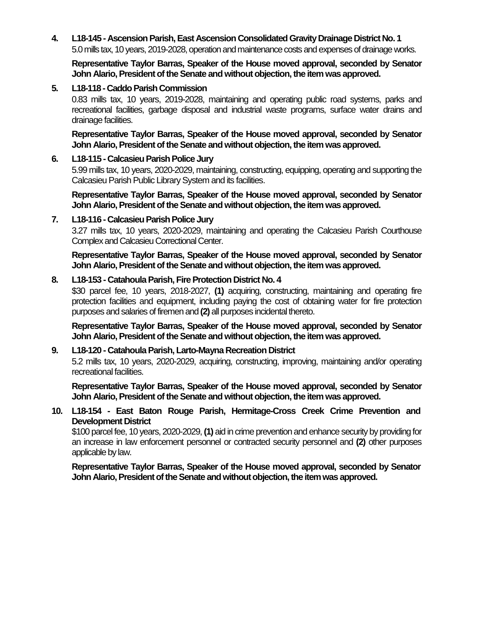**4. L18-145 - Ascension Parish, East Ascension Consolidated Gravity Drainage District No. 1** 5.0 mills tax, 10 years, 2019-2028, operation and maintenance costs and expenses of drainage works.

**Representative Taylor Barras, Speaker of the House moved approval, seconded by Senator John Alario, President of the Senate and without objection, the item was approved.**

#### **5. L18-118 - Caddo Parish Commission**

0.83 mills tax, 10 years, 2019-2028, maintaining and operating public road systems, parks and recreational facilities, garbage disposal and industrial waste programs, surface water drains and drainage facilities.

**Representative Taylor Barras, Speaker of the House moved approval, seconded by Senator John Alario, President of the Senate and without objection, the item was approved.**

#### **6. L18-115 - Calcasieu Parish Police Jury**

5.99 mills tax, 10 years, 2020-2029, maintaining, constructing, equipping, operating and supporting the Calcasieu Parish Public Library System and its facilities.

**Representative Taylor Barras, Speaker of the House moved approval, seconded by Senator John Alario, President of the Senate and without objection, the item was approved.**

#### **7. L18-116 - Calcasieu Parish Police Jury**

3.27 mills tax, 10 years, 2020-2029, maintaining and operating the Calcasieu Parish Courthouse Complex and Calcasieu Correctional Center.

**Representative Taylor Barras, Speaker of the House moved approval, seconded by Senator John Alario, President of the Senate and without objection, the item was approved.**

#### **8. L18-153 - Catahoula Parish, Fire Protection District No. 4**

\$30 parcel fee, 10 years, 2018-2027, **(1)** acquiring, constructing, maintaining and operating fire protection facilities and equipment, including paying the cost of obtaining water for fire protection purposes and salaries of firemen and **(2)** all purposes incidental thereto.

**Representative Taylor Barras, Speaker of the House moved approval, seconded by Senator John Alario, President of the Senate and without objection, the item was approved.**

#### **9. L18-120 - Catahoula Parish, Larto-Mayna Recreation District**

5.2 mills tax, 10 years, 2020-2029, acquiring, constructing, improving, maintaining and/or operating recreational facilities.

**Representative Taylor Barras, Speaker of the House moved approval, seconded by Senator John Alario, President of the Senate and without objection, the item was approved.**

# **10. L18-154 - East Baton Rouge Parish, Hermitage-Cross Creek Crime Prevention and Development District**

\$100 parcel fee, 10 years, 2020-2029, **(1)** aid in crime prevention and enhance security by providing for an increase in law enforcement personnel or contracted security personnel and **(2)** other purposes applicable by law.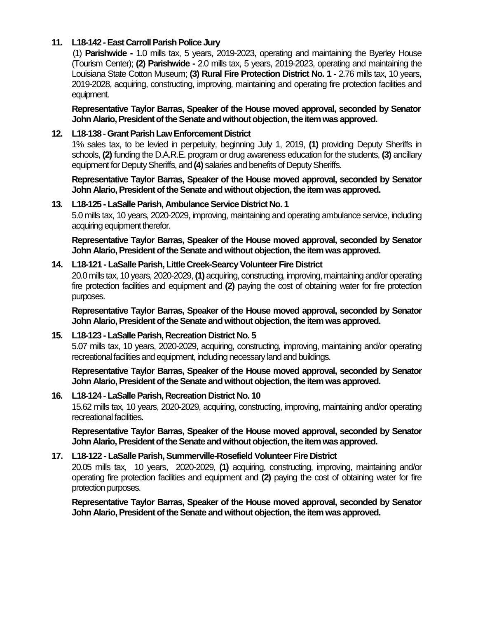# **11. L18-142 -East Carroll Parish Police Jury**

(1) **Parishwide -** 1.0 mills tax, 5 years, 2019-2023, operating and maintaining the Byerley House (Tourism Center); **(2) Parishwide -** 2.0 mills tax, 5 years, 2019-2023, operating and maintaining the Louisiana State Cotton Museum; **(3) Rural Fire Protection District No. 1 -** 2.76 mills tax, 10 years, 2019-2028, acquiring, constructing, improving, maintaining and operating fire protection facilities and equipment.

**Representative Taylor Barras, Speaker of the House moved approval, seconded by Senator John Alario, President of the Senate and without objection, the item was approved.**

# **12. L18-138 -Grant Parish Law Enforcement District**

1% sales tax, to be levied in perpetuity, beginning July 1, 2019, **(1)** providing Deputy Sheriffs in schools, **(2)** funding the D.A.R.E. program or drug awareness education for the students, **(3)** ancillary equipment for Deputy Sheriffs, and **(4)** salaries and benefits of Deputy Sheriffs.

**Representative Taylor Barras, Speaker of the House moved approval, seconded by Senator John Alario, President of the Senate and without objection, the item was approved.**

#### **13. L18-125 - LaSalle Parish, Ambulance Service District No. 1**

5.0 mills tax, 10 years, 2020-2029, improving, maintaining and operating ambulance service, including acquiring equipment therefor.

**Representative Taylor Barras, Speaker of the House moved approval, seconded by Senator John Alario, President of the Senate and without objection, the item was approved.**

# **14. L18-121 - LaSalle Parish, Little Creek-Searcy Volunteer Fire District**

20.0 mills tax, 10 years, 2020-2029, **(1)** acquiring, constructing, improving, maintaining and/or operating fire protection facilities and equipment and **(2)** paying the cost of obtaining water for fire protection purposes.

**Representative Taylor Barras, Speaker of the House moved approval, seconded by Senator John Alario, President of the Senate and without objection, the item was approved.**

# **15. L18-123 - LaSalle Parish, Recreation District No. 5**

5.07 mills tax, 10 years, 2020-2029, acquiring, constructing, improving, maintaining and/or operating recreational facilities and equipment, including necessary land and buildings.

**Representative Taylor Barras, Speaker of the House moved approval, seconded by Senator John Alario, President of the Senate and without objection, the item was approved.**

#### **16. L18-124 - LaSalle Parish, Recreation District No. 10**

15.62 mills tax, 10 years, 2020-2029, acquiring, constructing, improving, maintaining and/or operating recreational facilities.

**Representative Taylor Barras, Speaker of the House moved approval, seconded by Senator John Alario, President of the Senate and without objection, the item was approved.**

#### **17. L18-122 - LaSalle Parish, Summerville-Rosefield Volunteer Fire District**

20.05 mills tax, 10 years, 2020-2029, **(1)** acquiring, constructing, improving, maintaining and/or operating fire protection facilities and equipment and **(2)** paying the cost of obtaining water for fire protection purposes.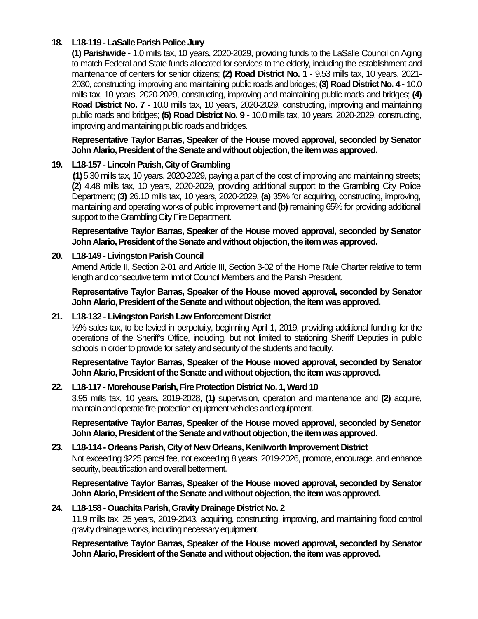# **18. L18-119 -LaSalle Parish Police Jury**

**(1) Parishwide -** 1.0 mills tax, 10 years, 2020-2029, providing funds to the LaSalle Council on Aging to match Federal and State funds allocated for services to the elderly, including the establishment and maintenance of centers for senior citizens; **(2) Road District No. 1 -** 9.53 mills tax, 10 years, 2021- 2030, constructing, improving and maintaining public roads and bridges; **(3) Road District No. 4 -** 10.0 mills tax, 10 years, 2020-2029, constructing, improving and maintaining public roads and bridges; **(4) Road District No. 7 -** 10.0 mills tax, 10 years, 2020-2029, constructing, improving and maintaining public roads and bridges; **(5) Road District No. 9 -** 10.0 mills tax, 10 years, 2020-2029, constructing, improving and maintaining public roads and bridges.

**Representative Taylor Barras, Speaker of the House moved approval, seconded by Senator John Alario, President of the Senate and without objection, the item was approved.**

# **19. L18-157 -Lincoln Parish, City of Grambling**

**(1)**5.30 mills tax, 10 years, 2020-2029, paying a part of the cost of improving and maintaining streets; **(2)** 4.48 mills tax, 10 years, 2020-2029, providing additional support to the Grambling City Police Department; **(3)** 26.10 mills tax, 10 years, 2020-2029, **(a)** 35% for acquiring, constructing, improving, maintaining and operating works of public improvement and **(b)** remaining 65% for providing additional support to the Grambling City Fire Department.

**Representative Taylor Barras, Speaker of the House moved approval, seconded by Senator John Alario, President of the Senate and without objection, the item was approved.**

#### **20. L18-149 -Livingston Parish Council**

Amend Article II, Section 2-01 and Article III, Section 3-02 of the Home Rule Charter relative to term length and consecutive term limit of Council Members and the Parish President.

**Representative Taylor Barras, Speaker of the House moved approval, seconded by Senator John Alario, President of the Senate and without objection, the item was approved.**

#### **21. L18-132 - Livingston Parish Law Enforcement District**

½% sales tax, to be levied in perpetuity, beginning April 1, 2019, providing additional funding for the operations of the Sheriff's Office, including, but not limited to stationing Sheriff Deputies in public schools in order to provide for safety and security of the students and faculty.

**Representative Taylor Barras, Speaker of the House moved approval, seconded by Senator John Alario, President of the Senate and without objection, the item was approved.**

#### **22. L18-117 - Morehouse Parish, Fire Protection District No. 1, Ward 10**

3.95 mills tax, 10 years, 2019-2028, **(1)** supervision, operation and maintenance and **(2)** acquire, maintain and operate fire protection equipment vehicles and equipment.

**Representative Taylor Barras, Speaker of the House moved approval, seconded by Senator John Alario, President of the Senate and without objection, the item was approved.**

# **23. L18-114 - Orleans Parish, City of New Orleans, Kenilworth Improvement District** Not exceeding \$225 parcel fee, not exceeding 8 years, 2019-2026, promote, encourage, and enhance

security, beautification and overall betterment.

#### **Representative Taylor Barras, Speaker of the House moved approval, seconded by Senator John Alario, President of the Senate and without objection, the item was approved.**

#### **24. L18-158 - Ouachita Parish, Gravity Drainage District No. 2**

11.9 mills tax, 25 years, 2019-2043, acquiring, constructing, improving, and maintaining flood control gravity drainage works, including necessary equipment.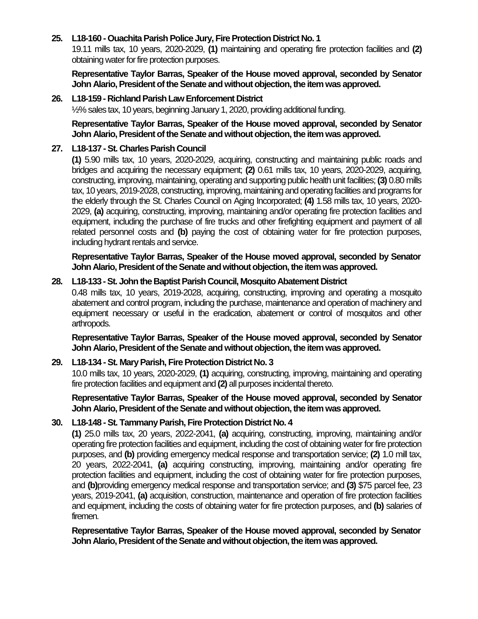# **25. L18-160 - Ouachita Parish Police Jury, Fire Protection District No. 1**

19.11 mills tax, 10 years, 2020-2029, **(1)** maintaining and operating fire protection facilities and **(2)** obtaining water for fire protection purposes.

**Representative Taylor Barras, Speaker of the House moved approval, seconded by Senator John Alario, President of the Senate and without objection, the item was approved.**

#### **26. L18-159 - Richland Parish Law Enforcement District**

½% sales tax, 10 years, beginning January 1, 2020, providing additional funding.

**Representative Taylor Barras, Speaker of the House moved approval, seconded by Senator John Alario, President of the Senate and without objection, the item was approved.**

#### **27. L18-137 -St. Charles Parish Council**

**(1)** 5.90 mills tax, 10 years, 2020-2029, acquiring, constructing and maintaining public roads and bridges and acquiring the necessary equipment; **(2)** 0.61 mills tax, 10 years, 2020-2029, acquiring, constructing, improving, maintaining, operating and supporting public health unit facilities; **(3)** 0.80 mills tax, 10 years, 2019-2028, constructing, improving, maintaining and operating facilities and programs for the elderly through the St. Charles Council on Aging Incorporated; **(4)** 1.58 mills tax, 10 years, 2020- 2029, **(a)** acquiring, constructing, improving, maintaining and/or operating fire protection facilities and equipment, including the purchase of fire trucks and other firefighting equipment and payment of all related personnel costs and **(b)** paying the cost of obtaining water for fire protection purposes, including hydrant rentals and service.

**Representative Taylor Barras, Speaker of the House moved approval, seconded by Senator John Alario, President of the Senate and without objection, the item was approved.**

#### **28. L18-133 -St. John the Baptist Parish Council, Mosquito Abatement District**

0.48 mills tax, 10 years, 2019-2028, acquiring, constructing, improving and operating a mosquito abatement and control program, including the purchase, maintenance and operation of machinery and equipment necessary or useful in the eradication, abatement or control of mosquitos and other arthropods.

**Representative Taylor Barras, Speaker of the House moved approval, seconded by Senator John Alario, President of the Senate and without objection, the item was approved.**

#### **29. L18-134 -St. Mary Parish, Fire Protection District No. 3**

10.0 mills tax, 10 years, 2020-2029, **(1)** acquiring, constructing, improving, maintaining and operating fire protection facilities and equipment and **(2)** all purposes incidental thereto.

**Representative Taylor Barras, Speaker of the House moved approval, seconded by Senator John Alario, President of the Senate and without objection, the item was approved.**

#### **30. L18-148 -St. Tammany Parish, Fire Protection District No. 4**

**(1)** 25.0 mills tax, 20 years, 2022-2041, **(a)** acquiring, constructing, improving, maintaining and/or operating fire protection facilities and equipment, including the cost of obtaining water for fire protection purposes, and **(b)** providing emergency medical response and transportation service; **(2)** 1.0 mill tax, 20 years, 2022-2041, **(a)** acquiring constructing, improving, maintaining and/or operating fire protection facilities and equipment, including the cost of obtaining water for fire protection purposes, and **(b)**providing emergency medical response and transportation service; and **(3)** \$75 parcel fee, 23 years, 2019-2041, **(a)** acquisition, construction, maintenance and operation of fire protection facilities and equipment, including the costs of obtaining water for fire protection purposes, and **(b)** salaries of firemen.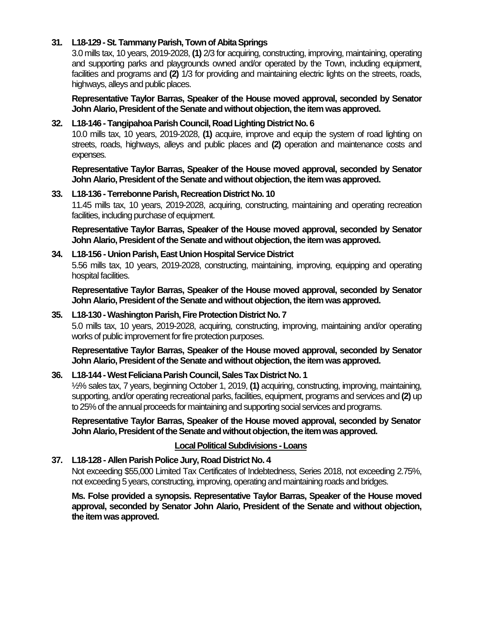# **31. L18-129 -St. Tammany Parish, Town of Abita Springs**

3.0 mills tax, 10 years, 2019-2028, **(1)** 2/3 for acquiring, constructing, improving, maintaining, operating and supporting parks and playgrounds owned and/or operated by the Town, including equipment, facilities and programs and **(2)** 1/3 for providing and maintaining electric lights on the streets, roads, highways, alleys and public places.

**Representative Taylor Barras, Speaker of the House moved approval, seconded by Senator John Alario, President of the Senate and without objection, the item was approved.**

#### **32. L18-146 - Tangipahoa Parish Council, Road Lighting District No. 6**

10.0 mills tax, 10 years, 2019-2028, **(1)** acquire, improve and equip the system of road lighting on streets, roads, highways, alleys and public places and **(2)** operation and maintenance costs and expenses.

**Representative Taylor Barras, Speaker of the House moved approval, seconded by Senator John Alario, President of the Senate and without objection, the item was approved.**

#### **33. L18-136 - Terrebonne Parish, Recreation District No. 10**

11.45 mills tax, 10 years, 2019-2028, acquiring, constructing, maintaining and operating recreation facilities, including purchase of equipment.

**Representative Taylor Barras, Speaker of the House moved approval, seconded by Senator John Alario, President of the Senate and without objection, the item was approved.**

# **34. L18-156 - Union Parish, East Union Hospital Service District**

5.56 mills tax, 10 years, 2019-2028, constructing, maintaining, improving, equipping and operating hospital facilities.

**Representative Taylor Barras, Speaker of the House moved approval, seconded by Senator John Alario, President of the Senate and without objection, the item was approved.**

#### **35. L18-130 -Washington Parish, Fire Protection District No. 7**

5.0 mills tax, 10 years, 2019-2028, acquiring, constructing, improving, maintaining and/or operating works of public improvement for fire protection purposes.

**Representative Taylor Barras, Speaker of the House moved approval, seconded by Senator John Alario, President of the Senate and without objection, the item was approved.**

#### **36. L18-144 -West Feliciana Parish Council, Sales Tax District No. 1**

½% sales tax, 7 years, beginning October 1, 2019, **(1)** acquiring, constructing, improving, maintaining, supporting, and/or operating recreational parks, facilities, equipment, programs and services and **(2)** up to 25% of the annual proceeds for maintaining and supporting social services and programs.

**Representative Taylor Barras, Speaker of the House moved approval, seconded by Senator John Alario, President of the Senate and without objection, the item was approved.**

#### **Local Political Subdivisions -Loans**

# **37. L18-128 - Allen Parish Police Jury, Road District No. 4**

Not exceeding \$55,000 Limited Tax Certificates of Indebtedness, Series 2018, not exceeding 2.75%, not exceeding 5 years, constructing, improving, operating and maintaining roads and bridges.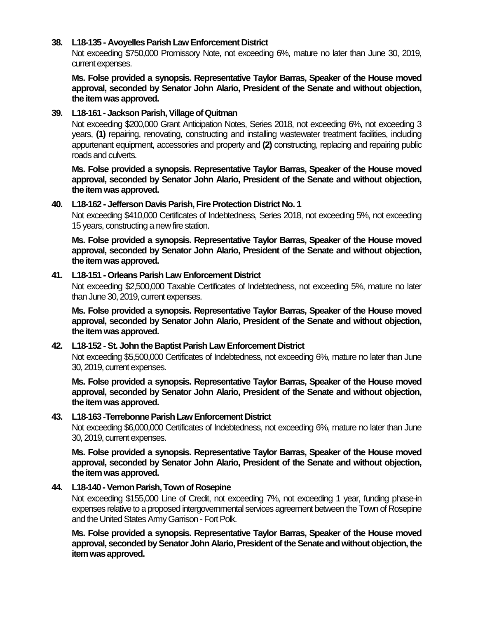#### **38. L18-135 - Avoyelles Parish Law Enforcement District**

Not exceeding \$750,000 Promissory Note, not exceeding 6%, mature no later than June 30, 2019, current expenses.

**Ms. Folse provided a synopsis. Representative Taylor Barras, Speaker of the House moved approval, seconded by Senator John Alario, President of the Senate and without objection, the item was approved.**

#### **39. L18-161 - Jackson Parish, Village of Quitman**

Not exceeding \$200,000 Grant Anticipation Notes, Series 2018, not exceeding 6%, not exceeding 3 years, **(1)** repairing, renovating, constructing and installing wastewater treatment facilities, including appurtenant equipment, accessories and property and **(2)** constructing, replacing and repairing public roads and culverts.

**Ms. Folse provided a synopsis. Representative Taylor Barras, Speaker of the House moved approval, seconded by Senator John Alario, President of the Senate and without objection, the item was approved.**

#### **40. L18-162 - Jefferson Davis Parish, Fire Protection District No. 1**

Not exceeding \$410,000 Certificates of Indebtedness, Series 2018, not exceeding 5%, not exceeding 15 years, constructing a new fire station.

**Ms. Folse provided a synopsis. Representative Taylor Barras, Speaker of the House moved approval, seconded by Senator John Alario, President of the Senate and without objection, the item was approved.**

#### **41. L18-151 - Orleans Parish Law Enforcement District**

Not exceeding \$2,500,000 Taxable Certificates of Indebtedness, not exceeding 5%, mature no later than June 30, 2019, current expenses.

**Ms. Folse provided a synopsis. Representative Taylor Barras, Speaker of the House moved approval, seconded by Senator John Alario, President of the Senate and without objection, the item was approved.**

#### **42. L18-152 -St. John the Baptist Parish Law Enforcement District**

Not exceeding \$5,500,000 Certificates of Indebtedness, not exceeding 6%, mature no later than June 30, 2019, current expenses.

**Ms. Folse provided a synopsis. Representative Taylor Barras, Speaker of the House moved approval, seconded by Senator John Alario, President of the Senate and without objection, the item was approved.**

#### **43. L18-163 -Terrebonne Parish Law Enforcement District**

Not exceeding \$6,000,000 Certificates of Indebtedness, not exceeding 6%, mature no later than June 30, 2019, current expenses.

**Ms. Folse provided a synopsis. Representative Taylor Barras, Speaker of the House moved approval, seconded by Senator John Alario, President of the Senate and without objection, the item was approved.**

#### **44. L18-140 -Vernon Parish, Town of Rosepine**

Not exceeding \$155,000 Line of Credit, not exceeding 7%, not exceeding 1 year, funding phase-in expenses relative to a proposed intergovernmental services agreement between the Town of Rosepine and the United States Army Garrison -Fort Polk.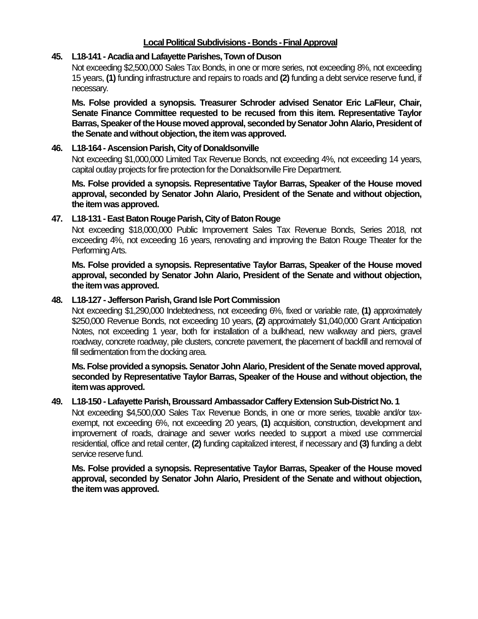### **Local Political Subdivisions - Bonds -Final Approval**

#### **45. L18-141 - Acadia and Lafayette Parishes, Town of Duson**

Not exceeding \$2,500,000 Sales Tax Bonds, in one or more series, not exceeding 8%, not exceeding 15 years, **(1)** funding infrastructure and repairs to roads and **(2)** funding a debt service reserve fund, if necessary.

**Ms. Folse provided a synopsis. Treasurer Schroder advised Senator Eric LaFleur, Chair, Senate Finance Committee requested to be recused from this item. Representative Taylor Barras, Speaker of the House moved approval, seconded by Senator John Alario, President of the Senate and without objection, the item was approved.**

#### **46. L18-164 - Ascension Parish, City of Donaldsonville**

Not exceeding \$1,000,000 Limited Tax Revenue Bonds, not exceeding 4%, not exceeding 14 years, capital outlay projects for fire protection for the Donaldsonville Fire Department.

**Ms. Folse provided a synopsis. Representative Taylor Barras, Speaker of the House moved approval, seconded by Senator John Alario, President of the Senate and without objection, the item was approved.**

#### **47. L18-131 -East Baton Rouge Parish, City of Baton Rouge**

Not exceeding \$18,000,000 Public Improvement Sales Tax Revenue Bonds, Series 2018, not exceeding 4%, not exceeding 16 years, renovating and improving the Baton Rouge Theater for the Performing Arts.

**Ms. Folse provided a synopsis. Representative Taylor Barras, Speaker of the House moved approval, seconded by Senator John Alario, President of the Senate and without objection, the item was approved.**

#### **48. L18-127 - Jefferson Parish, Grand Isle Port Commission**

Not exceeding \$1,290,000 Indebtedness, not exceeding 6%, fixed or variable rate, **(1)** approximately \$250,000 Revenue Bonds, not exceeding 10 years, **(2)** approximately \$1,040,000 Grant Anticipation Notes, not exceeding 1 year, both for installation of a bulkhead, new walkway and piers, gravel roadway, concrete roadway, pile clusters, concrete pavement, the placement of backfill and removal of fill sedimentation from the docking area.

**Ms. Folse provided a synopsis. Senator John Alario, President of the Senate moved approval, seconded by Representative Taylor Barras, Speaker of the House and without objection, the item was approved.**

#### **49. L18-150 - Lafayette Parish, Broussard Ambassador Caffery Extension Sub-District No. 1**

Not exceeding \$4,500,000 Sales Tax Revenue Bonds, in one or more series, taxable and/or taxexempt, not exceeding 6%, not exceeding 20 years, **(1)** acquisition, construction, development and improvement of roads, drainage and sewer works needed to support a mixed use commercial residential, office and retail center, **(2)** funding capitalized interest, if necessary and **(3)** funding a debt service reserve fund.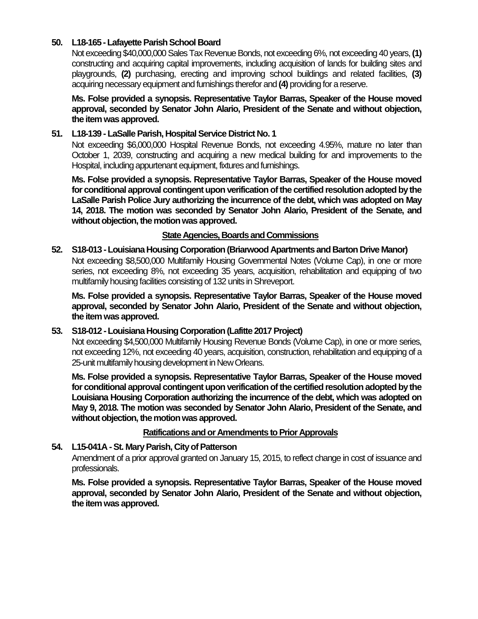# **50. L18-165 -Lafayette Parish School Board**

Not exceeding \$40,000,000 Sales Tax Revenue Bonds, not exceeding 6%, not exceeding 40 years, **(1)** constructing and acquiring capital improvements, including acquisition of lands for building sites and playgrounds, **(2)** purchasing, erecting and improving school buildings and related facilities, **(3)** acquiring necessary equipment and furnishings therefor and **(4)** providing for a reserve.

**Ms. Folse provided a synopsis. Representative Taylor Barras, Speaker of the House moved approval, seconded by Senator John Alario, President of the Senate and without objection, the item was approved.**

# **51. L18-139 - LaSalle Parish, Hospital Service District No. 1**

Not exceeding \$6,000,000 Hospital Revenue Bonds, not exceeding 4.95%, mature no later than October 1, 2039, constructing and acquiring a new medical building for and improvements to the Hospital, including appurtenant equipment, fixtures and furnishings.

**Ms. Folse provided a synopsis. Representative Taylor Barras, Speaker of the House moved for conditional approval contingent upon verification of the certified resolution adopted by the LaSalle Parish Police Jury authorizing the incurrence of the debt, which was adopted on May 14, 2018. The motion was seconded by Senator John Alario, President of the Senate, and without objection, the motion was approved.**

#### **State Agencies, Boards and Commissions**

**52. S18-013 -Louisiana Housing Corporation (Briarwood Apartments and Barton Drive Manor)** Not exceeding \$8,500,000 Multifamily Housing Governmental Notes (Volume Cap), in one or more series, not exceeding 8%, not exceeding 35 years, acquisition, rehabilitation and equipping of two multifamily housing facilities consisting of 132 units in Shreveport.

**Ms. Folse provided a synopsis. Representative Taylor Barras, Speaker of the House moved approval, seconded by Senator John Alario, President of the Senate and without objection, the item was approved.**

#### **53. S18-012 -Louisiana Housing Corporation (Lafitte 2017 Project)**

Not exceeding \$4,500,000 Multifamily Housing Revenue Bonds (Volume Cap), in one or more series, not exceeding 12%, not exceeding 40 years, acquisition, construction, rehabilitation and equipping of a 25-unit multifamily housing development in New Orleans.

**Ms. Folse provided a synopsis. Representative Taylor Barras, Speaker of the House moved for conditional approval contingent upon verification of the certified resolution adopted by the Louisiana Housing Corporation authorizing the incurrence of the debt, which was adopted on May 9, 2018. The motion was seconded by Senator John Alario, President of the Senate, and without objection, the motion was approved.**

#### **Ratifications and or Amendments to Prior Approvals**

# **54. L15-041A -St. Mary Parish, City of Patterson**

Amendment of a prior approval granted on January 15, 2015, to reflect change in cost of issuance and professionals.